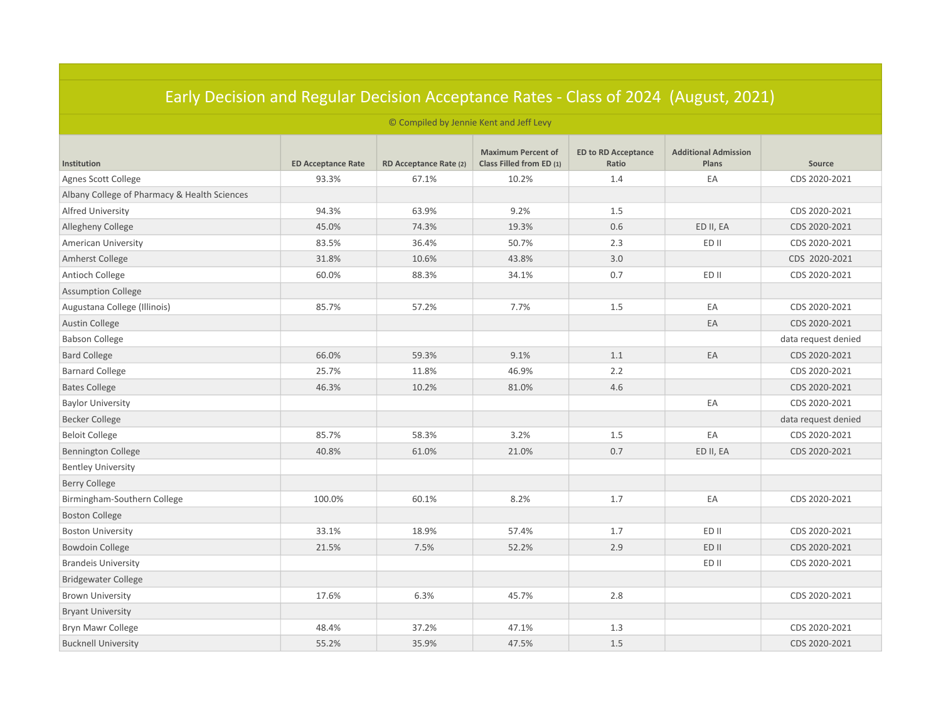| Larry Decision and negatal Decision Acceptance nates Tolds of LoLT (Alagast) LoLT |                           |                        |                                                       |                                     |                                      |                     |  |  |
|-----------------------------------------------------------------------------------|---------------------------|------------------------|-------------------------------------------------------|-------------------------------------|--------------------------------------|---------------------|--|--|
| © Compiled by Jennie Kent and Jeff Levy                                           |                           |                        |                                                       |                                     |                                      |                     |  |  |
| Institution                                                                       | <b>ED Acceptance Rate</b> | RD Acceptance Rate (2) | <b>Maximum Percent of</b><br>Class Filled from ED (1) | <b>ED to RD Acceptance</b><br>Ratio | <b>Additional Admission</b><br>Plans | Source              |  |  |
| Agnes Scott College                                                               | 93.3%                     | 67.1%                  | 10.2%                                                 | 1.4                                 | EA                                   | CDS 2020-2021       |  |  |
| Albany College of Pharmacy & Health Sciences                                      |                           |                        |                                                       |                                     |                                      |                     |  |  |
| Alfred University                                                                 | 94.3%                     | 63.9%                  | 9.2%                                                  | 1.5                                 |                                      | CDS 2020-2021       |  |  |
| Allegheny College                                                                 | 45.0%                     | 74.3%                  | 19.3%                                                 | 0.6                                 | ED II, EA                            | CDS 2020-2021       |  |  |
| American University                                                               | 83.5%                     | 36.4%                  | 50.7%                                                 | 2.3                                 | ED II                                | CDS 2020-2021       |  |  |
| Amherst College                                                                   | 31.8%                     | 10.6%                  | 43.8%                                                 | 3.0                                 |                                      | CDS 2020-2021       |  |  |
| Antioch College                                                                   | 60.0%                     | 88.3%                  | 34.1%                                                 | 0.7                                 | ED II                                | CDS 2020-2021       |  |  |
| <b>Assumption College</b>                                                         |                           |                        |                                                       |                                     |                                      |                     |  |  |
| Augustana College (Illinois)                                                      | 85.7%                     | 57.2%                  | 7.7%                                                  | 1.5                                 | EA                                   | CDS 2020-2021       |  |  |
| Austin College                                                                    |                           |                        |                                                       |                                     | EA                                   | CDS 2020-2021       |  |  |
| <b>Babson College</b>                                                             |                           |                        |                                                       |                                     |                                      | data request denied |  |  |
| <b>Bard College</b>                                                               | 66.0%                     | 59.3%                  | 9.1%                                                  | 1.1                                 | EA                                   | CDS 2020-2021       |  |  |
| <b>Barnard College</b>                                                            | 25.7%                     | 11.8%                  | 46.9%                                                 | 2.2                                 |                                      | CDS 2020-2021       |  |  |
| <b>Bates College</b>                                                              | 46.3%                     | 10.2%                  | 81.0%                                                 | 4.6                                 |                                      | CDS 2020-2021       |  |  |
| <b>Baylor University</b>                                                          |                           |                        |                                                       |                                     | EA                                   | CDS 2020-2021       |  |  |
| <b>Becker College</b>                                                             |                           |                        |                                                       |                                     |                                      | data request denied |  |  |
| <b>Beloit College</b>                                                             | 85.7%                     | 58.3%                  | 3.2%                                                  | 1.5                                 | EA                                   | CDS 2020-2021       |  |  |
| <b>Bennington College</b>                                                         | 40.8%                     | 61.0%                  | 21.0%                                                 | 0.7                                 | ED II, EA                            | CDS 2020-2021       |  |  |
| <b>Bentley University</b>                                                         |                           |                        |                                                       |                                     |                                      |                     |  |  |
| <b>Berry College</b>                                                              |                           |                        |                                                       |                                     |                                      |                     |  |  |
| Birmingham-Southern College                                                       | 100.0%                    | 60.1%                  | 8.2%                                                  | 1.7                                 | EA                                   | CDS 2020-2021       |  |  |
| <b>Boston College</b>                                                             |                           |                        |                                                       |                                     |                                      |                     |  |  |
| <b>Boston University</b>                                                          | 33.1%                     | 18.9%                  | 57.4%                                                 | 1.7                                 | ED II                                | CDS 2020-2021       |  |  |
| <b>Bowdoin College</b>                                                            | 21.5%                     | 7.5%                   | 52.2%                                                 | 2.9                                 | ED II                                | CDS 2020-2021       |  |  |
| <b>Brandeis University</b>                                                        |                           |                        |                                                       |                                     | ED II                                | CDS 2020-2021       |  |  |
| <b>Bridgewater College</b>                                                        |                           |                        |                                                       |                                     |                                      |                     |  |  |
| <b>Brown University</b>                                                           | 17.6%                     | 6.3%                   | 45.7%                                                 | 2.8                                 |                                      | CDS 2020-2021       |  |  |
| <b>Bryant University</b>                                                          |                           |                        |                                                       |                                     |                                      |                     |  |  |
| Bryn Mawr College                                                                 | 48.4%                     | 37.2%                  | 47.1%                                                 | 1.3                                 |                                      | CDS 2020-2021       |  |  |
| <b>Bucknell University</b>                                                        | 55.2%                     | 35.9%                  | 47.5%                                                 | 1.5                                 |                                      | CDS 2020-2021       |  |  |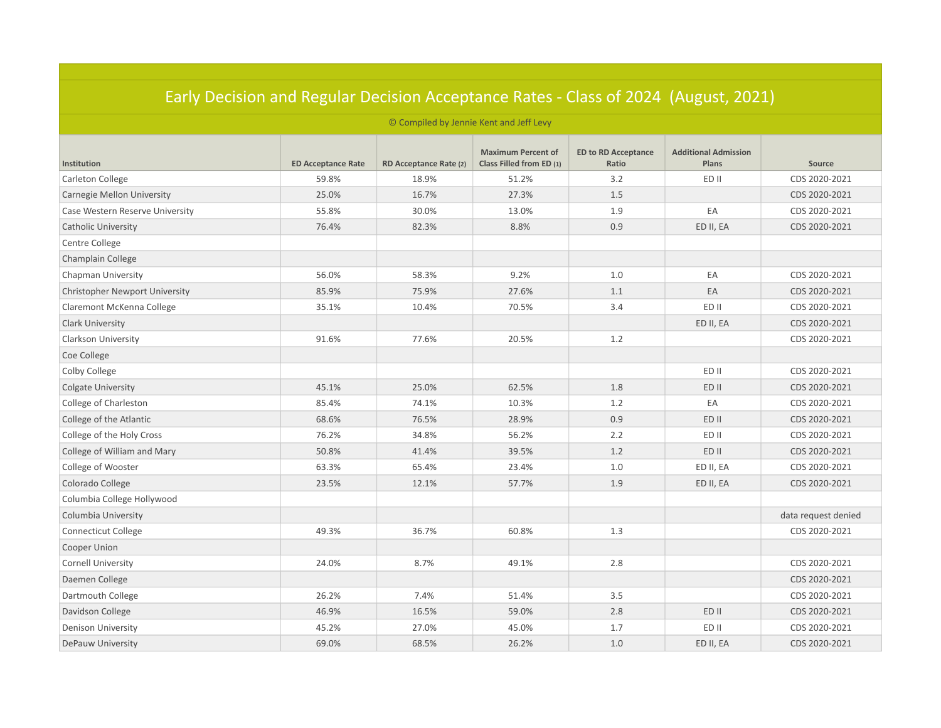| <u> Edity Decision dhu Negular Decision Acceptance Nates - Class of 2024 (August, 2021)</u><br>© Compiled by Jennie Kent and Jeff Levy |       |       |       |     |           |                     |  |  |
|----------------------------------------------------------------------------------------------------------------------------------------|-------|-------|-------|-----|-----------|---------------------|--|--|
|                                                                                                                                        |       |       |       |     |           |                     |  |  |
| Carleton College                                                                                                                       | 59.8% | 18.9% | 51.2% | 3.2 | ED II     | CDS 2020-2021       |  |  |
| Carnegie Mellon University                                                                                                             | 25.0% | 16.7% | 27.3% | 1.5 |           | CDS 2020-2021       |  |  |
| Case Western Reserve University                                                                                                        | 55.8% | 30.0% | 13.0% | 1.9 | EA        | CDS 2020-2021       |  |  |
| <b>Catholic University</b>                                                                                                             | 76.4% | 82.3% | 8.8%  | 0.9 | ED II, EA | CDS 2020-2021       |  |  |
| Centre College                                                                                                                         |       |       |       |     |           |                     |  |  |
| Champlain College                                                                                                                      |       |       |       |     |           |                     |  |  |
| Chapman University                                                                                                                     | 56.0% | 58.3% | 9.2%  | 1.0 | EA        | CDS 2020-2021       |  |  |
| <b>Christopher Newport University</b>                                                                                                  | 85.9% | 75.9% | 27.6% | 1.1 | EA        | CDS 2020-2021       |  |  |
| Claremont McKenna College                                                                                                              | 35.1% | 10.4% | 70.5% | 3.4 | ED II     | CDS 2020-2021       |  |  |
| <b>Clark University</b>                                                                                                                |       |       |       |     | ED II, EA | CDS 2020-2021       |  |  |
| <b>Clarkson University</b>                                                                                                             | 91.6% | 77.6% | 20.5% | 1.2 |           | CDS 2020-2021       |  |  |
| Coe College                                                                                                                            |       |       |       |     |           |                     |  |  |
| Colby College                                                                                                                          |       |       |       |     | ED II     | CDS 2020-2021       |  |  |
| <b>Colgate University</b>                                                                                                              | 45.1% | 25.0% | 62.5% | 1.8 | ED II     | CDS 2020-2021       |  |  |
| College of Charleston                                                                                                                  | 85.4% | 74.1% | 10.3% | 1.2 | EA        | CDS 2020-2021       |  |  |
| College of the Atlantic                                                                                                                | 68.6% | 76.5% | 28.9% | 0.9 | ED II     | CDS 2020-2021       |  |  |
| College of the Holy Cross                                                                                                              | 76.2% | 34.8% | 56.2% | 2.2 | ED II     | CDS 2020-2021       |  |  |
| College of William and Mary                                                                                                            | 50.8% | 41.4% | 39.5% | 1.2 | ED II     | CDS 2020-2021       |  |  |
| College of Wooster                                                                                                                     | 63.3% | 65.4% | 23.4% | 1.0 | ED II, EA | CDS 2020-2021       |  |  |
| Colorado College                                                                                                                       | 23.5% | 12.1% | 57.7% | 1.9 | ED II, EA | CDS 2020-2021       |  |  |
| Columbia College Hollywood                                                                                                             |       |       |       |     |           |                     |  |  |
| Columbia University                                                                                                                    |       |       |       |     |           | data request denied |  |  |
| Connecticut College                                                                                                                    | 49.3% | 36.7% | 60.8% | 1.3 |           | CDS 2020-2021       |  |  |
| Cooper Union                                                                                                                           |       |       |       |     |           |                     |  |  |
| <b>Cornell University</b>                                                                                                              | 24.0% | 8.7%  | 49.1% | 2.8 |           | CDS 2020-2021       |  |  |
| Daemen College                                                                                                                         |       |       |       |     |           | CDS 2020-2021       |  |  |
| Dartmouth College                                                                                                                      | 26.2% | 7.4%  | 51.4% | 3.5 |           | CDS 2020-2021       |  |  |
| Davidson College                                                                                                                       | 46.9% | 16.5% | 59.0% | 2.8 | ED II     | CDS 2020-2021       |  |  |
| <b>Denison University</b>                                                                                                              | 45.2% | 27.0% | 45.0% | 1.7 | ED II     | CDS 2020-2021       |  |  |
| DePauw University                                                                                                                      | 69.0% | 68.5% | 26.2% | 1.0 | ED II, EA | CDS 2020-2021       |  |  |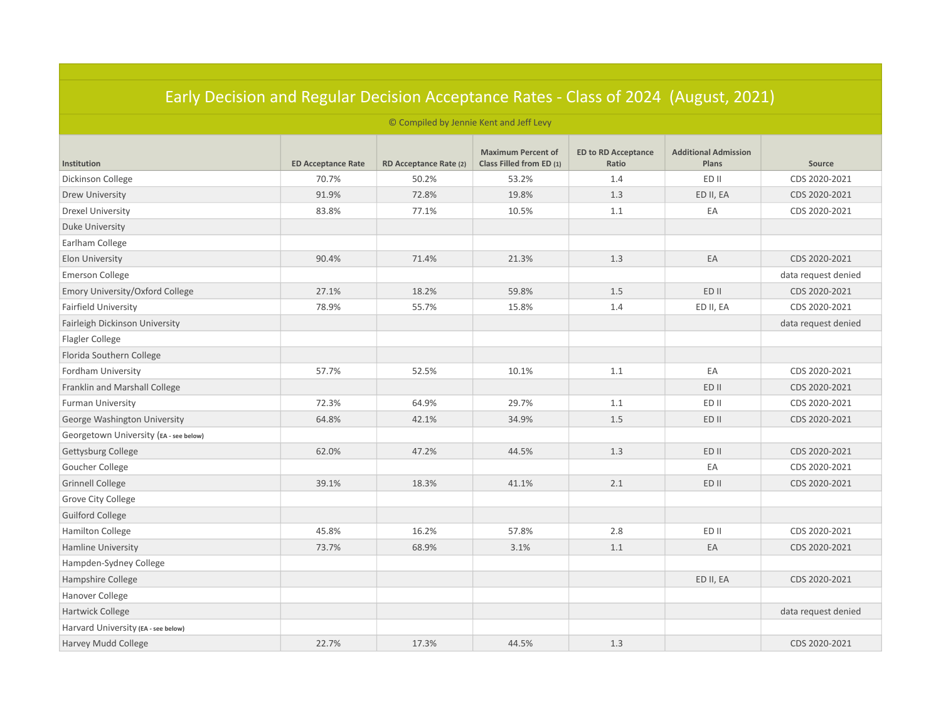|                                         | <u> Edity Decision dhu Negular Decision Acceptance Nates - Class of 2024 (August, 2021)</u> |                        |                                                       |                                     |                                      |                     |  |  |  |
|-----------------------------------------|---------------------------------------------------------------------------------------------|------------------------|-------------------------------------------------------|-------------------------------------|--------------------------------------|---------------------|--|--|--|
| © Compiled by Jennie Kent and Jeff Levy |                                                                                             |                        |                                                       |                                     |                                      |                     |  |  |  |
| Institution                             | <b>ED Acceptance Rate</b>                                                                   | RD Acceptance Rate (2) | <b>Maximum Percent of</b><br>Class Filled from ED (1) | <b>ED to RD Acceptance</b><br>Ratio | <b>Additional Admission</b><br>Plans | Source              |  |  |  |
| Dickinson College                       | 70.7%                                                                                       | 50.2%                  | 53.2%                                                 | 1.4                                 | ED II                                | CDS 2020-2021       |  |  |  |
| Drew University                         | 91.9%                                                                                       | 72.8%                  | 19.8%                                                 | 1.3                                 | ED II, EA                            | CDS 2020-2021       |  |  |  |
| <b>Drexel University</b>                | 83.8%                                                                                       | 77.1%                  | 10.5%                                                 | 1.1                                 | EA                                   | CDS 2020-2021       |  |  |  |
| <b>Duke University</b>                  |                                                                                             |                        |                                                       |                                     |                                      |                     |  |  |  |
| Earlham College                         |                                                                                             |                        |                                                       |                                     |                                      |                     |  |  |  |
| Elon University                         | 90.4%                                                                                       | 71.4%                  | 21.3%                                                 | 1.3                                 | EA                                   | CDS 2020-2021       |  |  |  |
| <b>Emerson College</b>                  |                                                                                             |                        |                                                       |                                     |                                      | data request denied |  |  |  |
| Emory University/Oxford College         | 27.1%                                                                                       | 18.2%                  | 59.8%                                                 | 1.5                                 | ED II                                | CDS 2020-2021       |  |  |  |
| Fairfield University                    | 78.9%                                                                                       | 55.7%                  | 15.8%                                                 | 1.4                                 | ED II, EA                            | CDS 2020-2021       |  |  |  |
| Fairleigh Dickinson University          |                                                                                             |                        |                                                       |                                     |                                      | data request denied |  |  |  |
| Flagler College                         |                                                                                             |                        |                                                       |                                     |                                      |                     |  |  |  |
| Florida Southern College                |                                                                                             |                        |                                                       |                                     |                                      |                     |  |  |  |
| Fordham University                      | 57.7%                                                                                       | 52.5%                  | 10.1%                                                 | 1.1                                 | EA                                   | CDS 2020-2021       |  |  |  |
| Franklin and Marshall College           |                                                                                             |                        |                                                       |                                     | ED II                                | CDS 2020-2021       |  |  |  |
| <b>Furman University</b>                | 72.3%                                                                                       | 64.9%                  | 29.7%                                                 | 1.1                                 | ED II                                | CDS 2020-2021       |  |  |  |
| George Washington University            | 64.8%                                                                                       | 42.1%                  | 34.9%                                                 | 1.5                                 | ED II                                | CDS 2020-2021       |  |  |  |
| Georgetown University (EA - see below)  |                                                                                             |                        |                                                       |                                     |                                      |                     |  |  |  |
| Gettysburg College                      | 62.0%                                                                                       | 47.2%                  | 44.5%                                                 | 1.3                                 | ED II                                | CDS 2020-2021       |  |  |  |
| Goucher College                         |                                                                                             |                        |                                                       |                                     | EA                                   | CDS 2020-2021       |  |  |  |
| <b>Grinnell College</b>                 | 39.1%                                                                                       | 18.3%                  | 41.1%                                                 | 2.1                                 | ED II                                | CDS 2020-2021       |  |  |  |
| Grove City College                      |                                                                                             |                        |                                                       |                                     |                                      |                     |  |  |  |
| <b>Guilford College</b>                 |                                                                                             |                        |                                                       |                                     |                                      |                     |  |  |  |
| <b>Hamilton College</b>                 | 45.8%                                                                                       | 16.2%                  | 57.8%                                                 | 2.8                                 | ED II                                | CDS 2020-2021       |  |  |  |
| <b>Hamline University</b>               | 73.7%                                                                                       | 68.9%                  | 3.1%                                                  | 1.1                                 | EA                                   | CDS 2020-2021       |  |  |  |
| Hampden-Sydney College                  |                                                                                             |                        |                                                       |                                     |                                      |                     |  |  |  |
| Hampshire College                       |                                                                                             |                        |                                                       |                                     | ED II, EA                            | CDS 2020-2021       |  |  |  |
| Hanover College                         |                                                                                             |                        |                                                       |                                     |                                      |                     |  |  |  |
| Hartwick College                        |                                                                                             |                        |                                                       |                                     |                                      | data request denied |  |  |  |
| Harvard University (EA - see below)     |                                                                                             |                        |                                                       |                                     |                                      |                     |  |  |  |
| Harvey Mudd College                     | 22.7%                                                                                       | 17.3%                  | 44.5%                                                 | 1.3                                 |                                      | CDS 2020-2021       |  |  |  |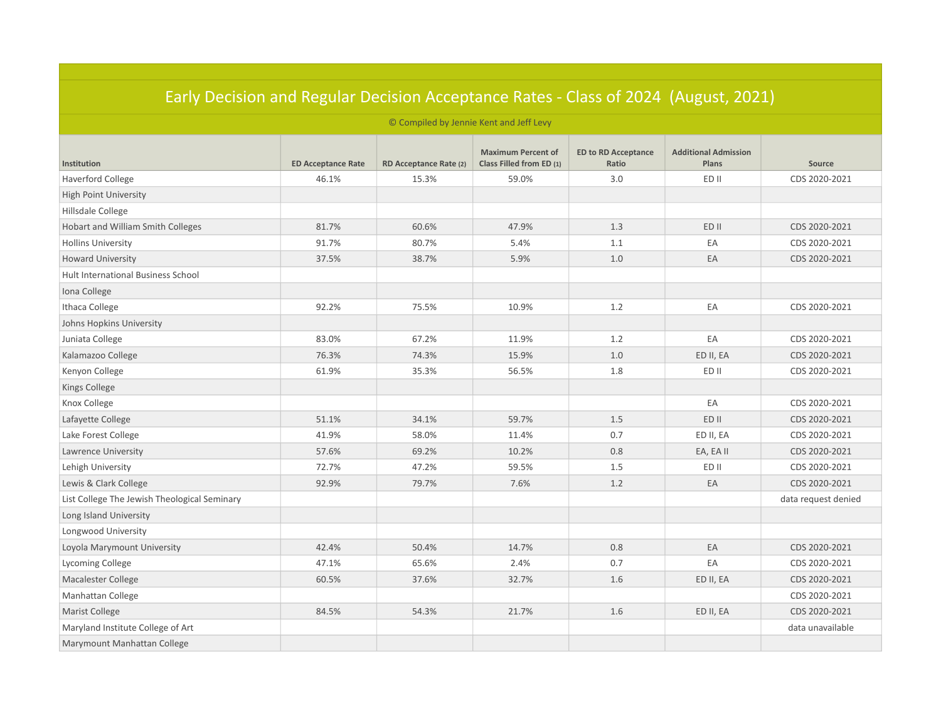| Larry Decision and Regular Decision Acceptance Rates - Class of 2024 (August, 2021) |                           |                                         |                                                       |                                     |                                      |                     |  |
|-------------------------------------------------------------------------------------|---------------------------|-----------------------------------------|-------------------------------------------------------|-------------------------------------|--------------------------------------|---------------------|--|
|                                                                                     |                           | © Compiled by Jennie Kent and Jeff Levy |                                                       |                                     |                                      |                     |  |
| Institution                                                                         | <b>ED Acceptance Rate</b> | RD Acceptance Rate (2)                  | <b>Maximum Percent of</b><br>Class Filled from ED (1) | <b>ED to RD Acceptance</b><br>Ratio | <b>Additional Admission</b><br>Plans | Source              |  |
| <b>Haverford College</b>                                                            | 46.1%                     | 15.3%                                   | 59.0%                                                 | 3.0                                 | ED II                                | CDS 2020-2021       |  |
| <b>High Point University</b>                                                        |                           |                                         |                                                       |                                     |                                      |                     |  |
| Hillsdale College                                                                   |                           |                                         |                                                       |                                     |                                      |                     |  |
| Hobart and William Smith Colleges                                                   | 81.7%                     | 60.6%                                   | 47.9%                                                 | 1.3                                 | ED II                                | CDS 2020-2021       |  |
| <b>Hollins University</b>                                                           | 91.7%                     | 80.7%                                   | 5.4%                                                  | 1.1                                 | EA                                   | CDS 2020-2021       |  |
| <b>Howard University</b>                                                            | 37.5%                     | 38.7%                                   | 5.9%                                                  | 1.0                                 | EA                                   | CDS 2020-2021       |  |
| Hult International Business School                                                  |                           |                                         |                                                       |                                     |                                      |                     |  |
| Iona College                                                                        |                           |                                         |                                                       |                                     |                                      |                     |  |
| Ithaca College                                                                      | 92.2%                     | 75.5%                                   | 10.9%                                                 | 1.2                                 | EA                                   | CDS 2020-2021       |  |
| Johns Hopkins University                                                            |                           |                                         |                                                       |                                     |                                      |                     |  |
| Juniata College                                                                     | 83.0%                     | 67.2%                                   | 11.9%                                                 | 1.2                                 | EA                                   | CDS 2020-2021       |  |
| Kalamazoo College                                                                   | 76.3%                     | 74.3%                                   | 15.9%                                                 | 1.0                                 | ED II, EA                            | CDS 2020-2021       |  |
| Kenyon College                                                                      | 61.9%                     | 35.3%                                   | 56.5%                                                 | 1.8                                 | ED II                                | CDS 2020-2021       |  |
| Kings College                                                                       |                           |                                         |                                                       |                                     |                                      |                     |  |
| Knox College                                                                        |                           |                                         |                                                       |                                     | EA                                   | CDS 2020-2021       |  |
| Lafayette College                                                                   | 51.1%                     | 34.1%                                   | 59.7%                                                 | 1.5                                 | ED II                                | CDS 2020-2021       |  |
| Lake Forest College                                                                 | 41.9%                     | 58.0%                                   | 11.4%                                                 | 0.7                                 | ED II, EA                            | CDS 2020-2021       |  |
| Lawrence University                                                                 | 57.6%                     | 69.2%                                   | 10.2%                                                 | 0.8                                 | EA, EA II                            | CDS 2020-2021       |  |
| Lehigh University                                                                   | 72.7%                     | 47.2%                                   | 59.5%                                                 | 1.5                                 | ED II                                | CDS 2020-2021       |  |
| Lewis & Clark College                                                               | 92.9%                     | 79.7%                                   | 7.6%                                                  | 1.2                                 | EA                                   | CDS 2020-2021       |  |
| List College The Jewish Theological Seminary                                        |                           |                                         |                                                       |                                     |                                      | data request denied |  |
| Long Island University                                                              |                           |                                         |                                                       |                                     |                                      |                     |  |
| Longwood University                                                                 |                           |                                         |                                                       |                                     |                                      |                     |  |
| Loyola Marymount University                                                         | 42.4%                     | 50.4%                                   | 14.7%                                                 | 0.8                                 | EA                                   | CDS 2020-2021       |  |
| Lycoming College                                                                    | 47.1%                     | 65.6%                                   | 2.4%                                                  | 0.7                                 | EA                                   | CDS 2020-2021       |  |
| <b>Macalester College</b>                                                           | 60.5%                     | 37.6%                                   | 32.7%                                                 | 1.6                                 | ED II, EA                            | CDS 2020-2021       |  |
| Manhattan College                                                                   |                           |                                         |                                                       |                                     |                                      | CDS 2020-2021       |  |
| Marist College                                                                      | 84.5%                     | 54.3%                                   | 21.7%                                                 | 1.6                                 | ED II, EA                            | CDS 2020-2021       |  |
| Maryland Institute College of Art                                                   |                           |                                         |                                                       |                                     |                                      | data unavailable    |  |
| Marymount Manhattan College                                                         |                           |                                         |                                                       |                                     |                                      |                     |  |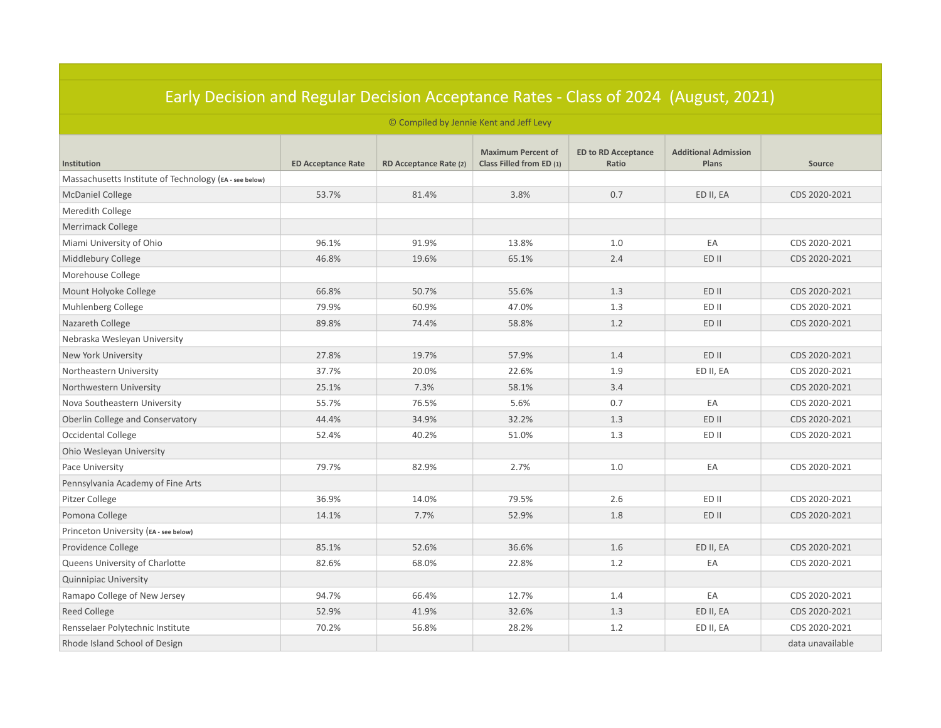| Edriy Decision and Regular Decision Acceptance Rates - Class of 2024. (August, 2021) |                           |                                         |                                                       |                                     |                                      |                  |  |
|--------------------------------------------------------------------------------------|---------------------------|-----------------------------------------|-------------------------------------------------------|-------------------------------------|--------------------------------------|------------------|--|
|                                                                                      |                           | © Compiled by Jennie Kent and Jeff Levy |                                                       |                                     |                                      |                  |  |
| Institution                                                                          | <b>ED Acceptance Rate</b> | RD Acceptance Rate (2)                  | <b>Maximum Percent of</b><br>Class Filled from ED (1) | <b>ED to RD Acceptance</b><br>Ratio | <b>Additional Admission</b><br>Plans | Source           |  |
| Massachusetts Institute of Technology (EA - see below)                               |                           |                                         |                                                       |                                     |                                      |                  |  |
| <b>McDaniel College</b>                                                              | 53.7%                     | 81.4%                                   | 3.8%                                                  | 0.7                                 | ED II, EA                            | CDS 2020-2021    |  |
| Meredith College                                                                     |                           |                                         |                                                       |                                     |                                      |                  |  |
| Merrimack College                                                                    |                           |                                         |                                                       |                                     |                                      |                  |  |
| Miami University of Ohio                                                             | 96.1%                     | 91.9%                                   | 13.8%                                                 | 1.0                                 | EA                                   | CDS 2020-2021    |  |
| Middlebury College                                                                   | 46.8%                     | 19.6%                                   | 65.1%                                                 | 2.4                                 | ED II                                | CDS 2020-2021    |  |
| Morehouse College                                                                    |                           |                                         |                                                       |                                     |                                      |                  |  |
| Mount Holyoke College                                                                | 66.8%                     | 50.7%                                   | 55.6%                                                 | 1.3                                 | ED II                                | CDS 2020-2021    |  |
| Muhlenberg College                                                                   | 79.9%                     | 60.9%                                   | 47.0%                                                 | 1.3                                 | ED II                                | CDS 2020-2021    |  |
| Nazareth College                                                                     | 89.8%                     | 74.4%                                   | 58.8%                                                 | 1.2                                 | ED II                                | CDS 2020-2021    |  |
| Nebraska Wesleyan University                                                         |                           |                                         |                                                       |                                     |                                      |                  |  |
| New York University                                                                  | 27.8%                     | 19.7%                                   | 57.9%                                                 | 1.4                                 | ED II                                | CDS 2020-2021    |  |
| Northeastern University                                                              | 37.7%                     | 20.0%                                   | 22.6%                                                 | 1.9                                 | ED II, EA                            | CDS 2020-2021    |  |
| Northwestern University                                                              | 25.1%                     | 7.3%                                    | 58.1%                                                 | 3.4                                 |                                      | CDS 2020-2021    |  |
| Nova Southeastern University                                                         | 55.7%                     | 76.5%                                   | 5.6%                                                  | 0.7                                 | EA                                   | CDS 2020-2021    |  |
| Oberlin College and Conservatory                                                     | 44.4%                     | 34.9%                                   | 32.2%                                                 | 1.3                                 | ED II                                | CDS 2020-2021    |  |
| Occidental College                                                                   | 52.4%                     | 40.2%                                   | 51.0%                                                 | 1.3                                 | ED II                                | CDS 2020-2021    |  |
| Ohio Wesleyan University                                                             |                           |                                         |                                                       |                                     |                                      |                  |  |
| Pace University                                                                      | 79.7%                     | 82.9%                                   | 2.7%                                                  | 1.0                                 | EA                                   | CDS 2020-2021    |  |
| Pennsylvania Academy of Fine Arts                                                    |                           |                                         |                                                       |                                     |                                      |                  |  |
| Pitzer College                                                                       | 36.9%                     | 14.0%                                   | 79.5%                                                 | 2.6                                 | ED II                                | CDS 2020-2021    |  |
| Pomona College                                                                       | 14.1%                     | 7.7%                                    | 52.9%                                                 | 1.8                                 | ED II                                | CDS 2020-2021    |  |
| Princeton University (EA - see below)                                                |                           |                                         |                                                       |                                     |                                      |                  |  |
| Providence College                                                                   | 85.1%                     | 52.6%                                   | 36.6%                                                 | $1.6\,$                             | ED II, EA                            | CDS 2020-2021    |  |
| Queens University of Charlotte                                                       | 82.6%                     | 68.0%                                   | 22.8%                                                 | $1.2\,$                             | EA                                   | CDS 2020-2021    |  |
| <b>Quinnipiac University</b>                                                         |                           |                                         |                                                       |                                     |                                      |                  |  |
| Ramapo College of New Jersey                                                         | 94.7%                     | 66.4%                                   | 12.7%                                                 | 1.4                                 | EA                                   | CDS 2020-2021    |  |
| Reed College                                                                         | 52.9%                     | 41.9%                                   | 32.6%                                                 | 1.3                                 | ED II, EA                            | CDS 2020-2021    |  |
| Rensselaer Polytechnic Institute                                                     | 70.2%                     | 56.8%                                   | 28.2%                                                 | 1.2                                 | ED II, EA                            | CDS 2020-2021    |  |
| Rhode Island School of Design                                                        |                           |                                         |                                                       |                                     |                                      | data unavailable |  |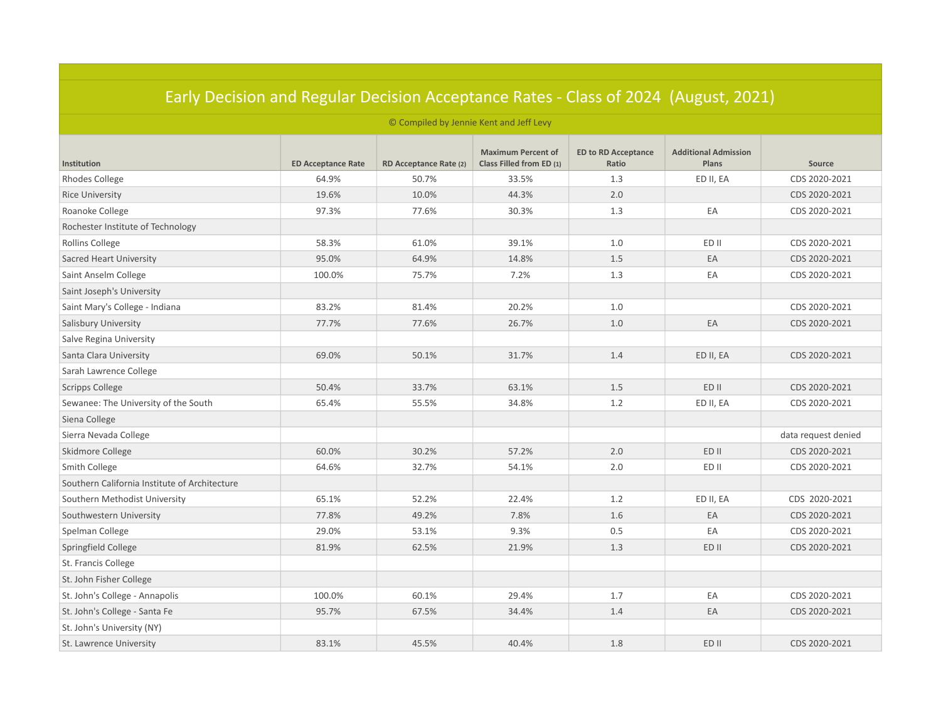| Early Decision and Regular Decision Acceptance Rates - Class of 2024 (August, 2021) |                           |                        |                                                       |                                     |                                             |                     |  |  |
|-------------------------------------------------------------------------------------|---------------------------|------------------------|-------------------------------------------------------|-------------------------------------|---------------------------------------------|---------------------|--|--|
| © Compiled by Jennie Kent and Jeff Levy                                             |                           |                        |                                                       |                                     |                                             |                     |  |  |
| Institution                                                                         | <b>ED Acceptance Rate</b> | RD Acceptance Rate (2) | <b>Maximum Percent of</b><br>Class Filled from ED (1) | <b>ED to RD Acceptance</b><br>Ratio | <b>Additional Admission</b><br><b>Plans</b> | Source              |  |  |
| <b>Rhodes College</b>                                                               | 64.9%                     | 50.7%                  | 33.5%                                                 | 1.3                                 | ED II, EA                                   | CDS 2020-2021       |  |  |
| <b>Rice University</b>                                                              | 19.6%                     | 10.0%                  | 44.3%                                                 | 2.0                                 |                                             | CDS 2020-2021       |  |  |
| Roanoke College                                                                     | 97.3%                     | 77.6%                  | 30.3%                                                 | 1.3                                 | EA                                          | CDS 2020-2021       |  |  |
| Rochester Institute of Technology                                                   |                           |                        |                                                       |                                     |                                             |                     |  |  |
| Rollins College                                                                     | 58.3%                     | 61.0%                  | 39.1%                                                 | 1.0                                 | ED II                                       | CDS 2020-2021       |  |  |
| Sacred Heart University                                                             | 95.0%                     | 64.9%                  | 14.8%                                                 | 1.5                                 | EA                                          | CDS 2020-2021       |  |  |
| Saint Anselm College                                                                | 100.0%                    | 75.7%                  | 7.2%                                                  | 1.3                                 | EA                                          | CDS 2020-2021       |  |  |
| Saint Joseph's University                                                           |                           |                        |                                                       |                                     |                                             |                     |  |  |
| Saint Mary's College - Indiana                                                      | 83.2%                     | 81.4%                  | 20.2%                                                 | 1.0                                 |                                             | CDS 2020-2021       |  |  |
| <b>Salisbury University</b>                                                         | 77.7%                     | 77.6%                  | 26.7%                                                 | 1.0                                 | EA                                          | CDS 2020-2021       |  |  |
| Salve Regina University                                                             |                           |                        |                                                       |                                     |                                             |                     |  |  |
| Santa Clara University                                                              | 69.0%                     | 50.1%                  | 31.7%                                                 | 1.4                                 | ED II, EA                                   | CDS 2020-2021       |  |  |
| Sarah Lawrence College                                                              |                           |                        |                                                       |                                     |                                             |                     |  |  |
| <b>Scripps College</b>                                                              | 50.4%                     | 33.7%                  | 63.1%                                                 | 1.5                                 | ED II                                       | CDS 2020-2021       |  |  |
| Sewanee: The University of the South                                                | 65.4%                     | 55.5%                  | 34.8%                                                 | 1.2                                 | ED II, EA                                   | CDS 2020-2021       |  |  |
| Siena College                                                                       |                           |                        |                                                       |                                     |                                             |                     |  |  |
| Sierra Nevada College                                                               |                           |                        |                                                       |                                     |                                             | data request denied |  |  |
| Skidmore College                                                                    | 60.0%                     | 30.2%                  | 57.2%                                                 | 2.0                                 | ED II                                       | CDS 2020-2021       |  |  |
| Smith College                                                                       | 64.6%                     | 32.7%                  | 54.1%                                                 | 2.0                                 | ED II                                       | CDS 2020-2021       |  |  |
| Southern California Institute of Architecture                                       |                           |                        |                                                       |                                     |                                             |                     |  |  |
| Southern Methodist University                                                       | 65.1%                     | 52.2%                  | 22.4%                                                 | 1.2                                 | ED II, EA                                   | CDS 2020-2021       |  |  |
| Southwestern University                                                             | 77.8%                     | 49.2%                  | 7.8%                                                  | 1.6                                 | EA                                          | CDS 2020-2021       |  |  |
| Spelman College                                                                     | 29.0%                     | 53.1%                  | 9.3%                                                  | 0.5                                 | EA                                          | CDS 2020-2021       |  |  |
| Springfield College                                                                 | 81.9%                     | 62.5%                  | 21.9%                                                 | 1.3                                 | ED II                                       | CDS 2020-2021       |  |  |
| St. Francis College                                                                 |                           |                        |                                                       |                                     |                                             |                     |  |  |
| St. John Fisher College                                                             |                           |                        |                                                       |                                     |                                             |                     |  |  |
| St. John's College - Annapolis                                                      | 100.0%                    | 60.1%                  | 29.4%                                                 | 1.7                                 | EA                                          | CDS 2020-2021       |  |  |
| St. John's College - Santa Fe                                                       | 95.7%                     | 67.5%                  | 34.4%                                                 | 1.4                                 | EA                                          | CDS 2020-2021       |  |  |
| St. John's University (NY)                                                          |                           |                        |                                                       |                                     |                                             |                     |  |  |
| St. Lawrence University                                                             | 83.1%                     | 45.5%                  | 40.4%                                                 | 1.8                                 | ED II                                       | CDS 2020-2021       |  |  |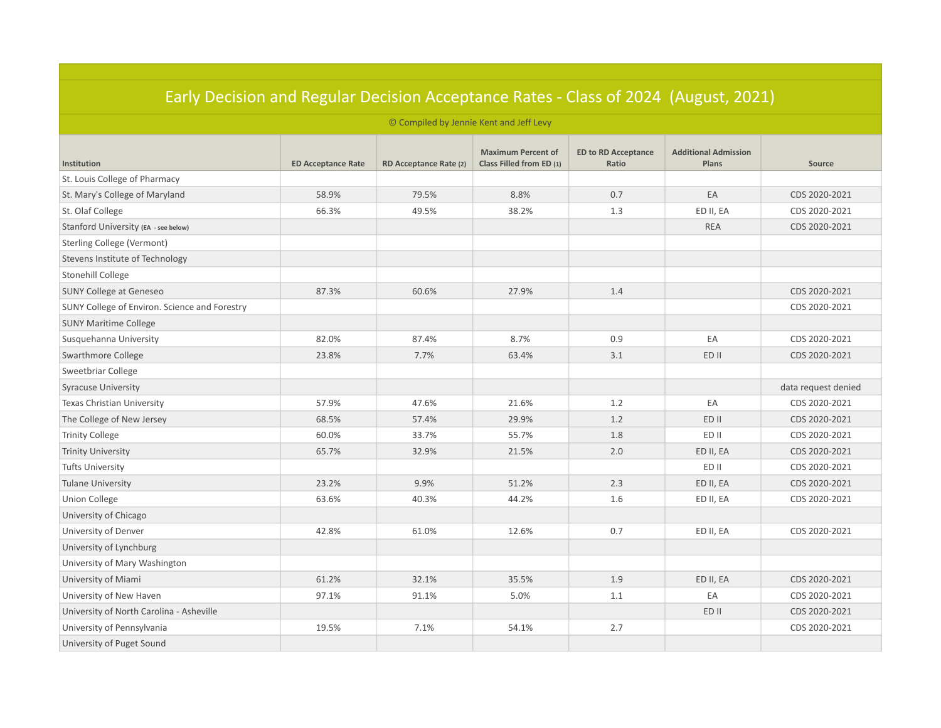| <u> Edity Decision and Regular Decision Acceptance Rates - Class Of 2024 (August, 2021)</u><br>© Compiled by Jennie Kent and Jeff Levy |       |       |       |     |            |                     |  |  |
|----------------------------------------------------------------------------------------------------------------------------------------|-------|-------|-------|-----|------------|---------------------|--|--|
|                                                                                                                                        |       |       |       |     |            |                     |  |  |
| St. Louis College of Pharmacy                                                                                                          |       |       |       |     |            |                     |  |  |
| St. Mary's College of Maryland                                                                                                         | 58.9% | 79.5% | 8.8%  | 0.7 | EA         | CDS 2020-2021       |  |  |
| St. Olaf College                                                                                                                       | 66.3% | 49.5% | 38.2% | 1.3 | ED II, EA  | CDS 2020-2021       |  |  |
| Stanford University (EA - see below)                                                                                                   |       |       |       |     | <b>REA</b> | CDS 2020-2021       |  |  |
| Sterling College (Vermont)                                                                                                             |       |       |       |     |            |                     |  |  |
| Stevens Institute of Technology                                                                                                        |       |       |       |     |            |                     |  |  |
| Stonehill College                                                                                                                      |       |       |       |     |            |                     |  |  |
| <b>SUNY College at Geneseo</b>                                                                                                         | 87.3% | 60.6% | 27.9% | 1.4 |            | CDS 2020-2021       |  |  |
| SUNY College of Environ. Science and Forestry                                                                                          |       |       |       |     |            | CDS 2020-2021       |  |  |
| <b>SUNY Maritime College</b>                                                                                                           |       |       |       |     |            |                     |  |  |
| Susquehanna University                                                                                                                 | 82.0% | 87.4% | 8.7%  | 0.9 | EA         | CDS 2020-2021       |  |  |
| Swarthmore College                                                                                                                     | 23.8% | 7.7%  | 63.4% | 3.1 | ED II      | CDS 2020-2021       |  |  |
| Sweetbriar College                                                                                                                     |       |       |       |     |            |                     |  |  |
| <b>Syracuse University</b>                                                                                                             |       |       |       |     |            | data request denied |  |  |
| Texas Christian University                                                                                                             | 57.9% | 47.6% | 21.6% | 1.2 | EA         | CDS 2020-2021       |  |  |
| The College of New Jersey                                                                                                              | 68.5% | 57.4% | 29.9% | 1.2 | ED II      | CDS 2020-2021       |  |  |
| <b>Trinity College</b>                                                                                                                 | 60.0% | 33.7% | 55.7% | 1.8 | ED II      | CDS 2020-2021       |  |  |
| <b>Trinity University</b>                                                                                                              | 65.7% | 32.9% | 21.5% | 2.0 | ED II, EA  | CDS 2020-2021       |  |  |
| <b>Tufts University</b>                                                                                                                |       |       |       |     | ED II      | CDS 2020-2021       |  |  |
| <b>Tulane University</b>                                                                                                               | 23.2% | 9.9%  | 51.2% | 2.3 | ED II, EA  | CDS 2020-2021       |  |  |
| <b>Union College</b>                                                                                                                   | 63.6% | 40.3% | 44.2% | 1.6 | ED II, EA  | CDS 2020-2021       |  |  |
| University of Chicago                                                                                                                  |       |       |       |     |            |                     |  |  |
| University of Denver                                                                                                                   | 42.8% | 61.0% | 12.6% | 0.7 | ED II, EA  | CDS 2020-2021       |  |  |
| University of Lynchburg                                                                                                                |       |       |       |     |            |                     |  |  |
| University of Mary Washington                                                                                                          |       |       |       |     |            |                     |  |  |
| University of Miami                                                                                                                    | 61.2% | 32.1% | 35.5% | 1.9 | ED II, EA  | CDS 2020-2021       |  |  |
| University of New Haven                                                                                                                | 97.1% | 91.1% | 5.0%  | 1.1 | EA         | CDS 2020-2021       |  |  |
| University of North Carolina - Asheville                                                                                               |       |       |       |     | ED II      | CDS 2020-2021       |  |  |
| University of Pennsylvania                                                                                                             | 19.5% | 7.1%  | 54.1% | 2.7 |            | CDS 2020-2021       |  |  |
| University of Puget Sound                                                                                                              |       |       |       |     |            |                     |  |  |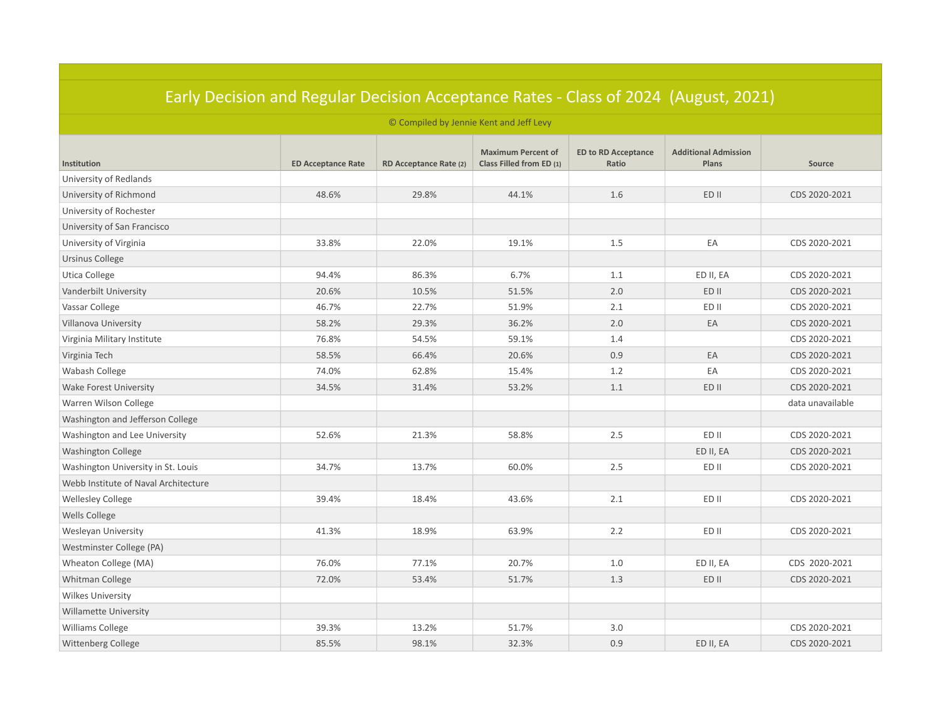| Early Decision and Regular Decision Acceptance Rates - Class of 2024. (August, 2021)<br>© Compiled by Jennie Kent and Jeff Levy |       |       |       |         |           |                  |  |  |
|---------------------------------------------------------------------------------------------------------------------------------|-------|-------|-------|---------|-----------|------------------|--|--|
|                                                                                                                                 |       |       |       |         |           |                  |  |  |
| University of Redlands                                                                                                          |       |       |       |         |           |                  |  |  |
| University of Richmond                                                                                                          | 48.6% | 29.8% | 44.1% | 1.6     | ED II     | CDS 2020-2021    |  |  |
| University of Rochester                                                                                                         |       |       |       |         |           |                  |  |  |
| University of San Francisco                                                                                                     |       |       |       |         |           |                  |  |  |
| University of Virginia                                                                                                          | 33.8% | 22.0% | 19.1% | 1.5     | EA        | CDS 2020-2021    |  |  |
| Ursinus College                                                                                                                 |       |       |       |         |           |                  |  |  |
| Utica College                                                                                                                   | 94.4% | 86.3% | 6.7%  | 1.1     | ED II, EA | CDS 2020-2021    |  |  |
| Vanderbilt University                                                                                                           | 20.6% | 10.5% | 51.5% | $2.0\,$ | ED II     | CDS 2020-2021    |  |  |
| Vassar College                                                                                                                  | 46.7% | 22.7% | 51.9% | 2.1     | ED II     | CDS 2020-2021    |  |  |
| Villanova University                                                                                                            | 58.2% | 29.3% | 36.2% | 2.0     | EA        | CDS 2020-2021    |  |  |
| Virginia Military Institute                                                                                                     | 76.8% | 54.5% | 59.1% | 1.4     |           | CDS 2020-2021    |  |  |
| Virginia Tech                                                                                                                   | 58.5% | 66.4% | 20.6% | 0.9     | EA        | CDS 2020-2021    |  |  |
| Wabash College                                                                                                                  | 74.0% | 62.8% | 15.4% | 1.2     | EA        | CDS 2020-2021    |  |  |
| Wake Forest University                                                                                                          | 34.5% | 31.4% | 53.2% | 1.1     | ED II     | CDS 2020-2021    |  |  |
| Warren Wilson College                                                                                                           |       |       |       |         |           | data unavailable |  |  |
| Washington and Jefferson College                                                                                                |       |       |       |         |           |                  |  |  |
| Washington and Lee University                                                                                                   | 52.6% | 21.3% | 58.8% | 2.5     | ED II     | CDS 2020-2021    |  |  |
| <b>Washington College</b>                                                                                                       |       |       |       |         | ED II, EA | CDS 2020-2021    |  |  |
| Washington University in St. Louis                                                                                              | 34.7% | 13.7% | 60.0% | 2.5     | ED II     | CDS 2020-2021    |  |  |
| Webb Institute of Naval Architecture                                                                                            |       |       |       |         |           |                  |  |  |
| <b>Wellesley College</b>                                                                                                        | 39.4% | 18.4% | 43.6% | 2.1     | ED II     | CDS 2020-2021    |  |  |
| <b>Wells College</b>                                                                                                            |       |       |       |         |           |                  |  |  |
| Wesleyan University                                                                                                             | 41.3% | 18.9% | 63.9% | 2.2     | ED II     | CDS 2020-2021    |  |  |
| Westminster College (PA)                                                                                                        |       |       |       |         |           |                  |  |  |
| Wheaton College (MA)                                                                                                            | 76.0% | 77.1% | 20.7% | 1.0     | ED II, EA | CDS 2020-2021    |  |  |
| <b>Whitman College</b>                                                                                                          | 72.0% | 53.4% | 51.7% | 1.3     | ED II     | CDS 2020-2021    |  |  |
| <b>Wilkes University</b>                                                                                                        |       |       |       |         |           |                  |  |  |
| <b>Willamette University</b>                                                                                                    |       |       |       |         |           |                  |  |  |
| <b>Williams College</b>                                                                                                         | 39.3% | 13.2% | 51.7% | 3.0     |           | CDS 2020-2021    |  |  |
| <b>Wittenberg College</b>                                                                                                       | 85.5% | 98.1% | 32.3% | 0.9     | ED II, EA | CDS 2020-2021    |  |  |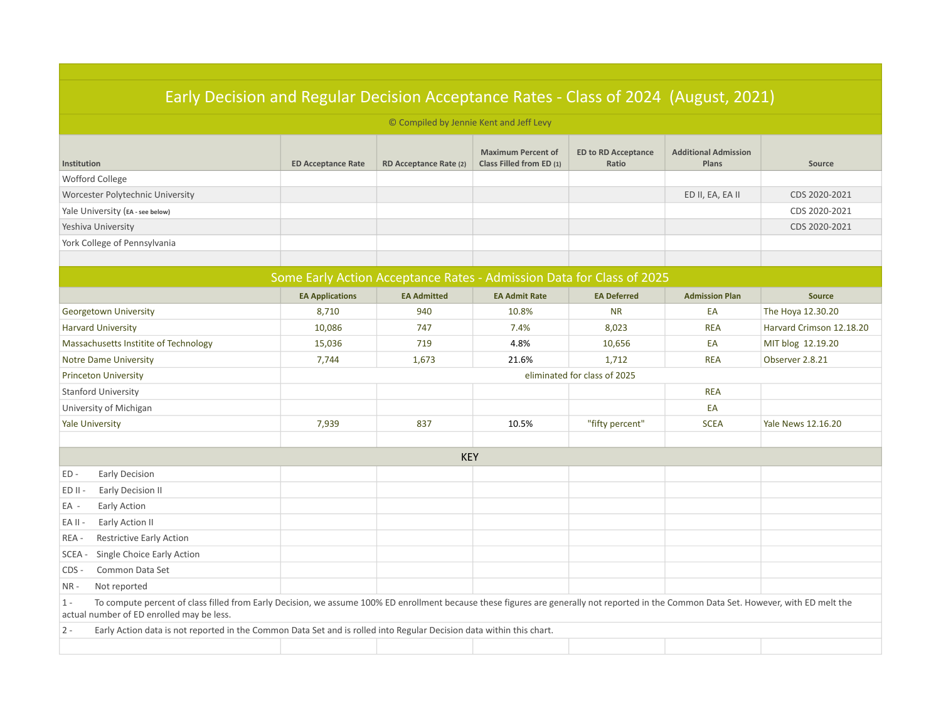| Early Decision and Regular Decision Acceptance Rates - Class of 2024 (August, 2021)                                                                                                                                                           |                           |                                                                       |                                                       |                                     |                                      |                           |
|-----------------------------------------------------------------------------------------------------------------------------------------------------------------------------------------------------------------------------------------------|---------------------------|-----------------------------------------------------------------------|-------------------------------------------------------|-------------------------------------|--------------------------------------|---------------------------|
|                                                                                                                                                                                                                                               |                           | © Compiled by Jennie Kent and Jeff Levy                               |                                                       |                                     |                                      |                           |
| Institution                                                                                                                                                                                                                                   | <b>ED Acceptance Rate</b> | RD Acceptance Rate (2)                                                | <b>Maximum Percent of</b><br>Class Filled from ED (1) | <b>ED to RD Acceptance</b><br>Ratio | <b>Additional Admission</b><br>Plans | Source                    |
| Wofford College                                                                                                                                                                                                                               |                           |                                                                       |                                                       |                                     |                                      |                           |
| Worcester Polytechnic University                                                                                                                                                                                                              |                           |                                                                       |                                                       |                                     | ED II, EA, EA II                     | CDS 2020-2021             |
| Yale University (EA - see below)                                                                                                                                                                                                              |                           |                                                                       |                                                       |                                     |                                      | CDS 2020-2021             |
| Yeshiva University                                                                                                                                                                                                                            |                           |                                                                       |                                                       |                                     |                                      | CDS 2020-2021             |
| York College of Pennsylvania                                                                                                                                                                                                                  |                           |                                                                       |                                                       |                                     |                                      |                           |
|                                                                                                                                                                                                                                               |                           |                                                                       |                                                       |                                     |                                      |                           |
|                                                                                                                                                                                                                                               |                           | Some Early Action Acceptance Rates - Admission Data for Class of 2025 |                                                       |                                     |                                      |                           |
|                                                                                                                                                                                                                                               | <b>EA Applications</b>    | <b>EA Admitted</b>                                                    | <b>EA Admit Rate</b>                                  | <b>EA Deferred</b>                  | <b>Admission Plan</b>                | <b>Source</b>             |
| Georgetown University                                                                                                                                                                                                                         | 8,710                     | 940                                                                   | 10.8%                                                 | <b>NR</b>                           | EA                                   | The Hoya 12.30.20         |
| <b>Harvard University</b>                                                                                                                                                                                                                     | 10,086                    | 747                                                                   | 7.4%                                                  | 8,023                               | <b>REA</b>                           | Harvard Crimson 12.18.20  |
| Massachusetts Institite of Technology                                                                                                                                                                                                         | 15,036                    | 719                                                                   | 4.8%                                                  | 10,656                              | EA                                   | MIT blog 12.19.20         |
| <b>Notre Dame University</b>                                                                                                                                                                                                                  | 7,744                     | 1,673                                                                 | 21.6%                                                 | 1,712                               | <b>REA</b>                           | Observer 2.8.21           |
| <b>Princeton University</b>                                                                                                                                                                                                                   |                           |                                                                       |                                                       | eliminated for class of 2025        |                                      |                           |
| <b>Stanford University</b>                                                                                                                                                                                                                    |                           |                                                                       |                                                       |                                     | <b>REA</b>                           |                           |
| University of Michigan                                                                                                                                                                                                                        |                           |                                                                       |                                                       |                                     | EA                                   |                           |
| <b>Yale University</b>                                                                                                                                                                                                                        | 7,939                     | 837                                                                   | 10.5%                                                 | "fifty percent"                     | <b>SCEA</b>                          | <b>Yale News 12.16.20</b> |
|                                                                                                                                                                                                                                               |                           |                                                                       |                                                       |                                     |                                      |                           |
|                                                                                                                                                                                                                                               |                           | <b>KEY</b>                                                            |                                                       |                                     |                                      |                           |
| ED-<br>Early Decision                                                                                                                                                                                                                         |                           |                                                                       |                                                       |                                     |                                      |                           |
| Early Decision II<br>ED II -                                                                                                                                                                                                                  |                           |                                                                       |                                                       |                                     |                                      |                           |
| Early Action<br>EA -                                                                                                                                                                                                                          |                           |                                                                       |                                                       |                                     |                                      |                           |
| Early Action II<br>EA II -                                                                                                                                                                                                                    |                           |                                                                       |                                                       |                                     |                                      |                           |
| <b>Restrictive Early Action</b><br>REA -                                                                                                                                                                                                      |                           |                                                                       |                                                       |                                     |                                      |                           |
| SCEA -<br>Single Choice Early Action                                                                                                                                                                                                          |                           |                                                                       |                                                       |                                     |                                      |                           |
| Common Data Set<br>CDS-                                                                                                                                                                                                                       |                           |                                                                       |                                                       |                                     |                                      |                           |
| $NR -$<br>Not reported                                                                                                                                                                                                                        |                           |                                                                       |                                                       |                                     |                                      |                           |
| To compute percent of class filled from Early Decision, we assume 100% ED enrollment because these figures are generally not reported in the Common Data Set. However, with ED melt the<br>$1 -$<br>actual number of ED enrolled may be less. |                           |                                                                       |                                                       |                                     |                                      |                           |
| Early Action data is not reported in the Common Data Set and is rolled into Regular Decision data within this chart.<br>$2 -$                                                                                                                 |                           |                                                                       |                                                       |                                     |                                      |                           |